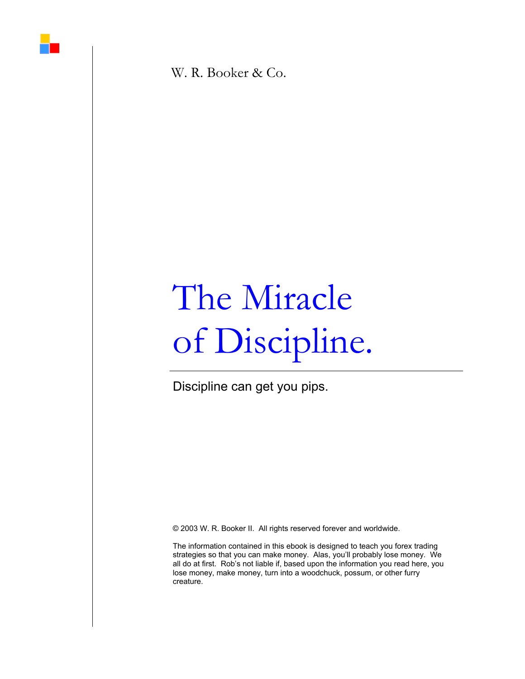W. R. Booker & Co.

# The Miracle of Discipline.

Discipline can get you pips.

© 2003 W. R. Booker II. All rights reserved forever and worldwide.

The information contained in this ebook is designed to teach you forex trading strategies so that you can make money. Alas, you'll probably lose money. We all do at first. Rob's not liable if, based upon the information you read here, you lose money, make money, turn into a woodchuck, possum, or other furry creature.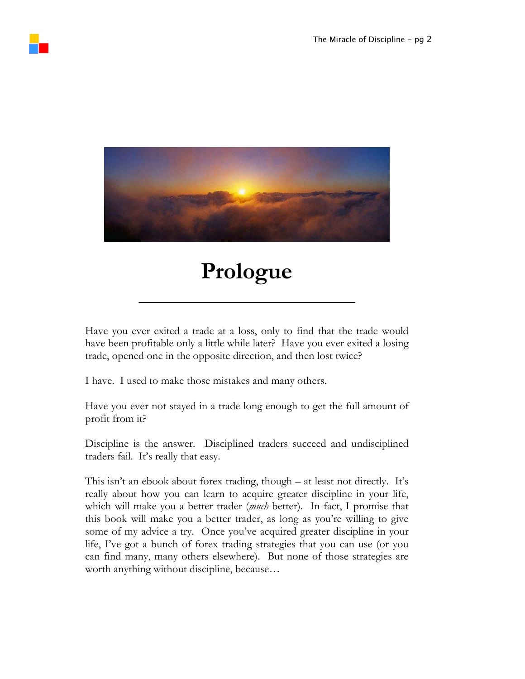



## **Prologue**

Have you ever exited a trade at a loss, only to find that the trade would have been profitable only a little while later? Have you ever exited a losing trade, opened one in the opposite direction, and then lost twice?

I have. I used to make those mistakes and many others.

Have you ever not stayed in a trade long enough to get the full amount of profit from it?

Discipline is the answer. Disciplined traders succeed and undisciplined traders fail. It's really that easy.

This isn't an ebook about forex trading, though – at least not directly. It's really about how you can learn to acquire greater discipline in your life, which will make you a better trader (*much* better). In fact, I promise that this book will make you a better trader, as long as you're willing to give some of my advice a try. Once you've acquired greater discipline in your life, I've got a bunch of forex trading strategies that you can use (or you can find many, many others elsewhere). But none of those strategies are worth anything without discipline, because…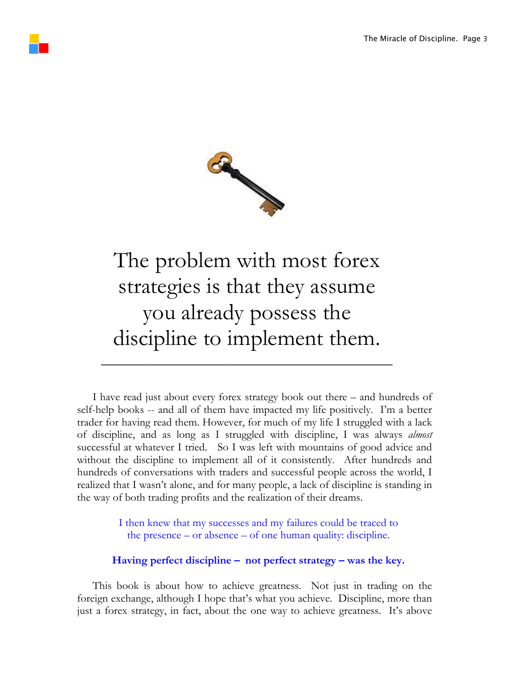



The problem with most forex strategies is that they assume you already possess the discipline to implement them.

\_\_\_\_\_\_\_\_\_\_\_\_\_\_\_\_\_\_\_\_\_\_\_\_\_\_\_\_\_\_\_\_\_\_\_\_\_\_\_\_

I have read just about every forex strategy book out there – and hundreds of self-help books -- and all of them have impacted my life positively. I'm a better trader for having read them. However, for much of my life I struggled with a lack of discipline, and as long as I struggled with discipline, I was always *almost* successful at whatever I tried. So I was left with mountains of good advice and without the discipline to implement all of it consistently. After hundreds and hundreds of conversations with traders and successful people across the world, I realized that I wasn't alone, and for many people, a lack of discipline is standing in the way of both trading profits and the realization of their dreams.

> I then knew that my successes and my failures could be traced to the presence – or absence – of one human quality: discipline.

#### **Having perfect discipline – not perfect strategy – was the key.**

This book is about how to achieve greatness. Not just in trading on the foreign exchange, although I hope that's what you achieve. Discipline, more than just a forex strategy, in fact, about the one way to achieve greatness. It's above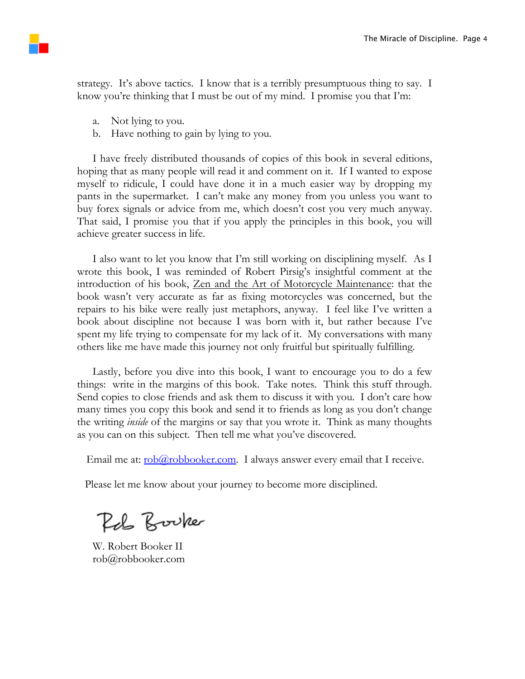strategy. It's above tactics. I know that is a terribly presumptuous thing to say. I know you're thinking that I must be out of my mind. I promise you that I'm:

- a. Not lying to you.
- b. Have nothing to gain by lying to you.

I have freely distributed thousands of copies of this book in several editions, hoping that as many people will read it and comment on it. If I wanted to expose myself to ridicule, I could have done it in a much easier way by dropping my pants in the supermarket. I can't make any money from you unless you want to buy forex signals or advice from me, which doesn't cost you very much anyway. That said, I promise you that if you apply the principles in this book, you will achieve greater success in life.

I also want to let you know that I'm still working on disciplining myself. As I wrote this book, I was reminded of Robert Pirsig's insightful comment at the introduction of his book, Zen and the Art of Motorcycle Maintenance: that the book wasn't very accurate as far as fixing motorcycles was concerned, but the repairs to his bike were really just metaphors, anyway. I feel like I've written a book about discipline not because I was born with it, but rather because I've spent my life trying to compensate for my lack of it. My conversations with many others like me have made this journey not only fruitful but spiritually fulfilling.

Lastly, before you dive into this book, I want to encourage you to do a few things: write in the margins of this book. Take notes. Think this stuff through. Send copies to close friends and ask them to discuss it with you. I don't care how many times you copy this book and send it to friends as long as you don't change the writing *inside* of the margins or say that you wrote it. Think as many thoughts as you can on this subject. Then tell me what you've discovered.

Email me at:  $\frac{\text{rob}(a)\text{robbooker.com}}{1 \text{ always answer every email that I receive.}}$ 

Please let me know about your journey to become more disciplined.

Rel Booker

W. Robert Booker II rob@robbooker.com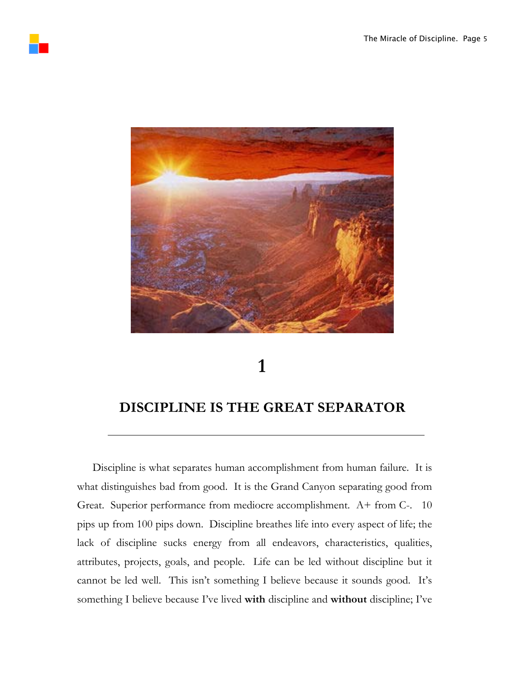



### **1**

#### **DISCIPLINE IS THE GREAT SEPARATOR**

Discipline is what separates human accomplishment from human failure. It is what distinguishes bad from good. It is the Grand Canyon separating good from Great. Superior performance from mediocre accomplishment. A+ from C-. 10 pips up from 100 pips down. Discipline breathes life into every aspect of life; the lack of discipline sucks energy from all endeavors, characteristics, qualities, attributes, projects, goals, and people. Life can be led without discipline but it cannot be led well. This isn't something I believe because it sounds good. It's something I believe because I've lived **with** discipline and **without** discipline; I've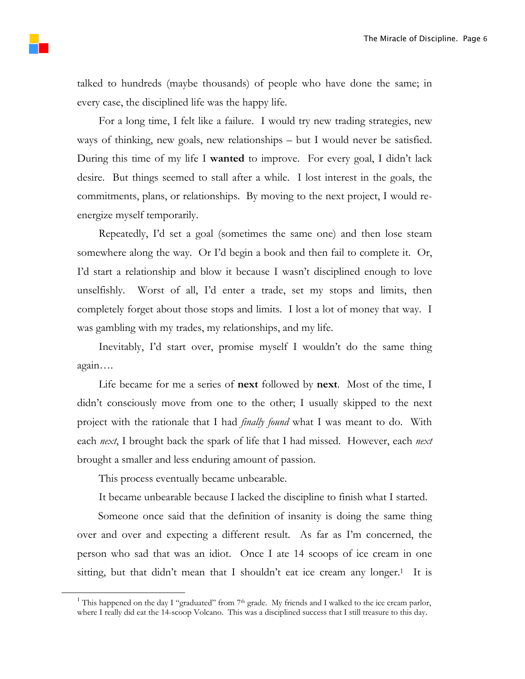

talked to hundreds (maybe thousands) of people who have done the same; in every case, the disciplined life was the happy life.

 For a long time, I felt like a failure. I would try new trading strategies, new ways of thinking, new goals, new relationships – but I would never be satisfied. During this time of my life I **wanted** to improve. For every goal, I didn't lack desire. But things seemed to stall after a while. I lost interest in the goals, the commitments, plans, or relationships. By moving to the next project, I would reenergize myself temporarily.

 Repeatedly, I'd set a goal (sometimes the same one) and then lose steam somewhere along the way. Or I'd begin a book and then fail to complete it. Or, I'd start a relationship and blow it because I wasn't disciplined enough to love unselfishly. Worst of all, I'd enter a trade, set my stops and limits, then completely forget about those stops and limits. I lost a lot of money that way. I was gambling with my trades, my relationships, and my life.

 Inevitably, I'd start over, promise myself I wouldn't do the same thing again….

 Life became for me a series of **next** followed by **next**. Most of the time, I didn't consciously move from one to the other; I usually skipped to the next project with the rationale that I had *finally found* what I was meant to do. With each *next*, I brought back the spark of life that I had missed. However, each *next* brought a smaller and less enduring amount of passion.

This process eventually became unbearable.

It became unbearable because I lacked the discipline to finish what I started.

 Someone once said that the definition of insanity is doing the same thing over and over and expecting a different result. As far as I'm concerned, the person who sad that was an idiot. Once I ate 14 scoops of ice cream in one sitting, but that didn't mean that I shouldn't eat ice cream any longer.<sup>1</sup> It is

<sup>&</sup>lt;sup>1</sup> This happened on the day I "graduated" from  $7<sup>th</sup>$  grade. My friends and I walked to the ice cream parlor, where I really did eat the 14-scoop Volcano. This was a disciplined success that I still treasure to this day.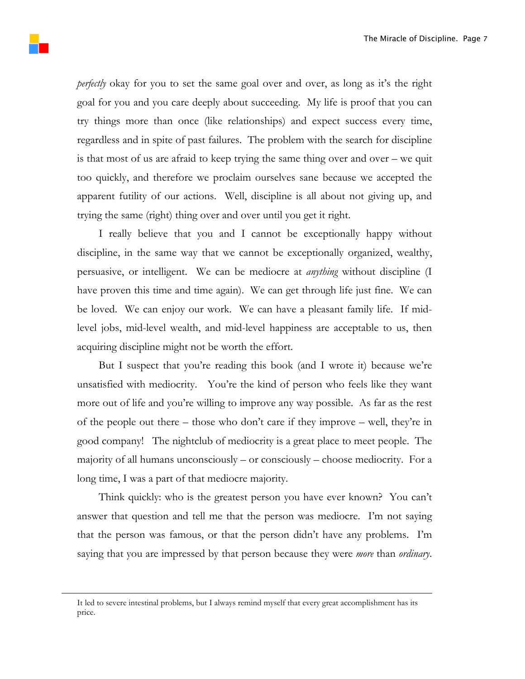$\overline{a}$ 

*perfectly* okay for you to set the same goal over and over, as long as it's the right goal for you and you care deeply about succeeding. My life is proof that you can try things more than once (like relationships) and expect success every time, regardless and in spite of past failures. The problem with the search for discipline is that most of us are afraid to keep trying the same thing over and over – we quit too quickly, and therefore we proclaim ourselves sane because we accepted the apparent futility of our actions. Well, discipline is all about not giving up, and trying the same (right) thing over and over until you get it right.

 I really believe that you and I cannot be exceptionally happy without discipline, in the same way that we cannot be exceptionally organized, wealthy, persuasive, or intelligent. We can be mediocre at *anything* without discipline (I have proven this time and time again). We can get through life just fine. We can be loved. We can enjoy our work. We can have a pleasant family life. If midlevel jobs, mid-level wealth, and mid-level happiness are acceptable to us, then acquiring discipline might not be worth the effort.

 But I suspect that you're reading this book (and I wrote it) because we're unsatisfied with mediocrity. You're the kind of person who feels like they want more out of life and you're willing to improve any way possible. As far as the rest of the people out there – those who don't care if they improve – well, they're in good company! The nightclub of mediocrity is a great place to meet people. The majority of all humans unconsciously – or consciously – choose mediocrity. For a long time, I was a part of that mediocre majority.

 Think quickly: who is the greatest person you have ever known? You can't answer that question and tell me that the person was mediocre. I'm not saying that the person was famous, or that the person didn't have any problems. I'm saying that you are impressed by that person because they were *more* than *ordinary*.

It led to severe intestinal problems, but I always remind myself that every great accomplishment has its price.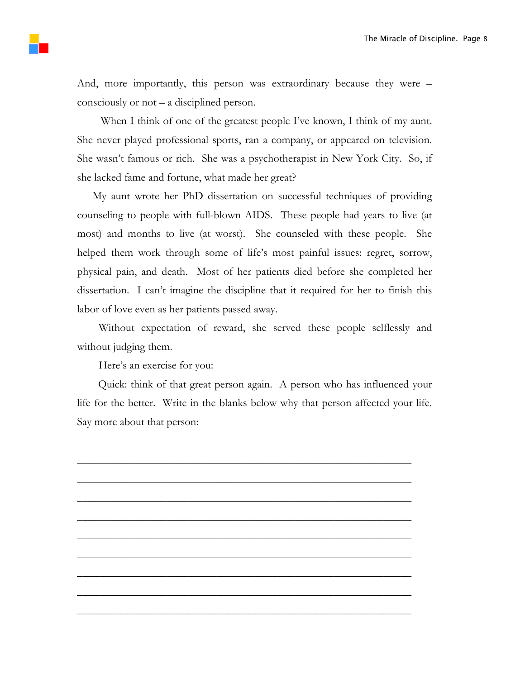And, more importantly, this person was extraordinary because they were – consciously or not – a disciplined person.

When I think of one of the greatest people I've known, I think of my aunt. She never played professional sports, ran a company, or appeared on television. She wasn't famous or rich. She was a psychotherapist in New York City. So, if she lacked fame and fortune, what made her great?

My aunt wrote her PhD dissertation on successful techniques of providing counseling to people with full-blown AIDS. These people had years to live (at most) and months to live (at worst). She counseled with these people. She helped them work through some of life's most painful issues: regret, sorrow, physical pain, and death. Most of her patients died before she completed her dissertation. I can't imagine the discipline that it required for her to finish this labor of love even as her patients passed away.

 Without expectation of reward, she served these people selflessly and without judging them.

Here's an exercise for you:

 Quick: think of that great person again. A person who has influenced your life for the better. Write in the blanks below why that person affected your life. Say more about that person:

 $\overline{a_1}$  ,  $\overline{a_2}$  ,  $\overline{a_3}$  ,  $\overline{a_4}$  ,  $\overline{a_5}$  ,  $\overline{a_6}$  ,  $\overline{a_7}$  ,  $\overline{a_8}$  ,  $\overline{a_9}$  ,  $\overline{a_9}$  ,  $\overline{a_9}$  ,  $\overline{a_9}$  ,  $\overline{a_9}$  ,  $\overline{a_9}$  ,  $\overline{a_9}$  ,  $\overline{a_9}$  ,  $\overline{a_9}$  ,

\_\_\_\_\_\_\_\_\_\_\_\_\_\_\_\_\_\_\_\_\_\_\_\_\_\_\_\_\_\_\_\_\_\_\_\_\_\_\_\_\_\_\_\_\_\_\_\_\_\_\_\_\_\_\_\_\_\_\_\_

 $\overline{a}$  , and the contribution of the contribution of the contribution of the contribution of the contribution of  $\overline{a}$ 

\_\_\_\_\_\_\_\_\_\_\_\_\_\_\_\_\_\_\_\_\_\_\_\_\_\_\_\_\_\_\_\_\_\_\_\_\_\_\_\_\_\_\_\_\_\_\_\_\_\_\_\_\_\_\_\_\_\_\_\_

 $\overline{\phantom{a}}$  , and the contract of the contract of the contract of the contract of the contract of the contract of the contract of the contract of the contract of the contract of the contract of the contract of the contrac

\_\_\_\_\_\_\_\_\_\_\_\_\_\_\_\_\_\_\_\_\_\_\_\_\_\_\_\_\_\_\_\_\_\_\_\_\_\_\_\_\_\_\_\_\_\_\_\_\_\_\_\_\_\_\_\_\_\_\_\_

 $\overline{\phantom{a}}$  , and the contract of the contract of the contract of the contract of the contract of the contract of the contract of the contract of the contract of the contract of the contract of the contract of the contrac

\_\_\_\_\_\_\_\_\_\_\_\_\_\_\_\_\_\_\_\_\_\_\_\_\_\_\_\_\_\_\_\_\_\_\_\_\_\_\_\_\_\_\_\_\_\_\_\_\_\_\_\_\_\_\_\_\_\_\_\_

 $\overline{\phantom{a}}$  , and the contract of the contract of the contract of the contract of the contract of the contract of the contract of the contract of the contract of the contract of the contract of the contract of the contrac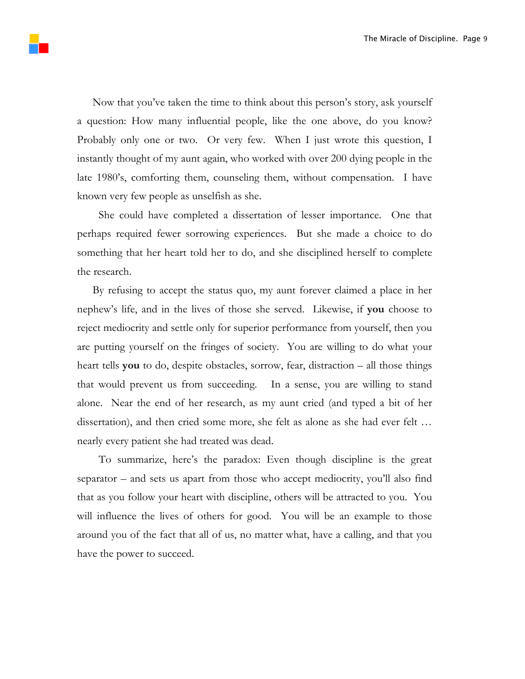Now that you've taken the time to think about this person's story, ask yourself a question: How many influential people, like the one above, do you know? Probably only one or two. Or very few. When I just wrote this question, I instantly thought of my aunt again, who worked with over 200 dying people in the late 1980's, comforting them, counseling them, without compensation. I have known very few people as unselfish as she.

 She could have completed a dissertation of lesser importance. One that perhaps required fewer sorrowing experiences. But she made a choice to do something that her heart told her to do, and she disciplined herself to complete the research.

By refusing to accept the status quo, my aunt forever claimed a place in her nephew's life, and in the lives of those she served. Likewise, if **you** choose to reject mediocrity and settle only for superior performance from yourself, then you are putting yourself on the fringes of society. You are willing to do what your heart tells **you** to do, despite obstacles, sorrow, fear, distraction – all those things that would prevent us from succeeding. In a sense, you are willing to stand alone. Near the end of her research, as my aunt cried (and typed a bit of her dissertation), and then cried some more, she felt as alone as she had ever felt … nearly every patient she had treated was dead.

 To summarize, here's the paradox: Even though discipline is the great separator – and sets us apart from those who accept mediocrity, you'll also find that as you follow your heart with discipline, others will be attracted to you. You will influence the lives of others for good. You will be an example to those around you of the fact that all of us, no matter what, have a calling, and that you have the power to succeed.